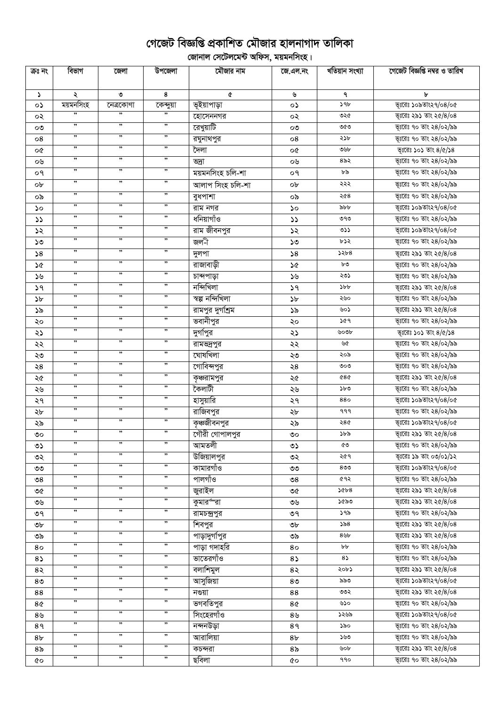## গেজেট বিজ্ঞপ্তি প্রকাশিত মৌজার হালনাগাদ তালিকা

ূলিকা<br>বিদ্যালয় সেটেলমেন্ট অফিস, ময়মনসিংহ।

| ক্ৰঃ নং        | বিভাগ                | জেলা      | উপজেলা               | মৌজার নাম         | জে.এল.নং       | খতিয়ান সংখ্যা | গেজেট বিজ্ঞপ্তি নম্বর ও তারিখ |
|----------------|----------------------|-----------|----------------------|-------------------|----------------|----------------|-------------------------------|
| $\mathcal{L}$  | ২                    | ৩         | 8                    | ¢                 | ৬              | ٩              | ৮                             |
| ٥Ş             | ময়মনসিংহ            | নেত্ৰকোণা | কেন্দুয়া            | ভূইয়াপাড়া       | $\circ$        | $\sqrt{9b}$    | ভূঃরেঃ ১০৯তাং২৭/০৪/০৫         |
| ০২             | ,,                   |           | 99                   | হোসেননগর          | ০২             | ৩২৫            | ভূঃরেঃ ২৯১ তাং ২৫/8/০৪        |
| ೲ              | ,,                   | ,,        | ,,                   | রেখুয়াটি         | ೲ              | ৩৫৩            | ভূঃরেঃ ৭০ তাং ২৪/০২/৯৯        |
| 08             | ,,                   | ,,        | ,,                   | রঘুনাথপুর         | 08             | ২১৮            | ভূঃরেঃ ৭০ তাং ২৪/০২/৯৯        |
| o¢             | ,,                   | ,,        | ,,                   | দৈলা              | o¢             | ৩৬৮            | ভূঃরেঃ ১০১ তাং $8/\alpha/38$  |
| ০৬             | ,,                   | ,,        | ,,                   | ভদ্ৰা             | ০৬             | ৪৯২            | ভূঃরেঃ ৭০ তাং ২৪/০২/৯৯        |
| ०१             | ,,                   | ,,        | ,,                   | ময়মনসিংহ চলি-শা  | ०१             | ৮৯             | ভূঃরেঃ ৭০ তাং ২৪/০২/৯৯        |
| ob             | $\pmb{\mathfrak{y}}$ | ,,        | $, \,$               | আলাপ সিংহ চলি-শা  | ob             | ২২২            | ভূঃরেঃ ৭০ তাং ২৪/০২/৯৯        |
| ০৯             | ,,                   | ,,        | ,,                   | বুধপাশা           | ০৯             | ২৫৪            | ভূঃরেঃ ৭০ তাং ২৪/০২/৯৯        |
| ১০             | ,,                   | ,,        | ,,                   | রাম নগর           | ১০             | ৯৮৮            | ভূঃরেঃ ১০৯তাং২৭/০৪/০৫         |
| $\mathcal{L}$  | ,,                   | ,,        | ,,                   | ধনিয়াগাঁও        | $\mathcal{L}$  | ৩৭৩            | ভূঃরেঃ ৭০ তাং ২৪/০২/৯৯        |
| ১২             | ,,                   | ,,        | ,,                   | রাম জীবনপুর       | ১২             | 35             | ভূঃরেঃ ১০৯তাং২৭/০৪/০৫         |
| ১৩             | ,,                   | ,,        | ,,                   | জল-ী              | ১৩             | ৮১২            | ভূঃরেঃ ৭০ তাং ২৪/০২/৯৯        |
| 58             | $, \,$               | $, \,$    | $\pmb{\mathfrak{y}}$ | দুলপা             | 58             | 52b8           | ভূঃরেঃ ২৯১ তাং ২৫/৪/০৪        |
| ১৫             | ,,                   | ,         | ,,                   | রাজাবাড়ী         | ১৫             | ৮৩             | ভূঃরেঃ ৭০ তাং ২৪/০২/৯৯        |
| ১৬             | ,,                   | ,,        | ,,                   | চান্দপাড়া        | ১৬             | ২৩১            | ভূঃরেঃ ৭০ তাং ২৪/০২/৯৯        |
| ১৭             | ,,                   | ,         | ,,                   | নন্দিখিলা         | 39             | $\delta b$     | ভূঃরেঃ ২৯১ তাং ২৫/8/০৪        |
| ১৮             | ,,                   | $, \,$    | $\pmb{\mathfrak{y}}$ | স্বল্প নন্দিখিলা  | $\delta b$     | ২৬০            | ভূঃরেঃ ৭০ তাং ২৪/০২/৯৯        |
| ১৯             | $\pmb{\mathfrak{y}}$ | , ,       | $, \,$               | রামপুর দুর্গাশ্রম | ১৯             | ৬০১            | ভূঃরেঃ ২৯১ তাং ২৫/৪/০৪        |
| ২০             | $\pmb{\mathfrak{y}}$ | , ,       | $, \,$               | ভবানীপুর          | ২০             | ১৫৭            | ভূঃরেঃ ৭০ তাং ২৪/০২/৯৯        |
| ২১             | $\pmb{\mathfrak{y}}$ | , ,       | $\pmb{\mathfrak{y}}$ | দুর্গাপুর         | ২১             | ৬০৩৮           | ভূঃরেঃ ১০১ তাং $8/\alpha/38$  |
| ২২             | $\pmb{\mathfrak{y}}$ | $, \,$    | $, \,$               | রামন্দ্রপুর       | ২২             | ৬৫             | ভূঃরেঃ ৭০ তাং ২৪/০২/৯৯        |
| ২৩             | $\pmb{\mathfrak{y}}$ | , ,       | $, \,$               | ঘোষখিলা           | ২৩             | ২০৯            | ভূঃরেঃ ৭০ তাং ২৪/০২/৯৯        |
| ২8             | ,,                   | ,,        | ,,                   | গোবিন্দপুর        | ২8             | ৩০৩            | ভূঃরেঃ ৭০ তাং ২৪/০২/৯৯        |
| ২৫             | ,,                   | ,         | ,,                   | কৃঞ্চরামপুর       | ২৫             | 080            | ভূঃরেঃ ২৯১ তাং ২৫/8/০৪        |
| ২৬             | ,,                   | ,,        | ,,                   | কৈলাটী            | ২৬             | ১৮৩            | ভূঃরেঃ ৭০ তাং ২৪/০২/৯৯        |
| ২৭             | ,,                   | ,,        | ,,                   | হাসুয়ারি         | ২৭             | 880            | ভূঃরেঃ ১০৯তাং২৭/০৪/০৫         |
| ২৮             | ,,                   | ,,        | ,,                   | রাজিবপুর          | ২৮             | 999            | ভূঃরেঃ ৭০ তাং ২৪/০২/৯৯        |
| ২৯             | ,,                   | ,,        | ,,                   | কৃঞ্চজীবনপুর      | ২৯             | ২৪৫            | ভূঃরেঃ ১০৯তাং২৭/০৪/০৫         |
| ৩০             | ,,                   | ,,        | ,,                   | গৌরী গোপালপুর     | ৩০             | ১৮৯            | ভূঃরেঃ ২৯১ তাং ২৫/8/০৪        |
| ৩১             |                      |           |                      | আমতলী             | ৩১             | ৫৩             | ভূঃরেঃ ৭০ তাং ২৪/০২/৯৯        |
| ৩২             | ,,                   | ,,        | ,,                   | উজিয়ালপুর        | ৩২             | ২৫৭            | ভূঃরেঃ ১৯ তাং ০৩/০১/১২        |
| ৩৩             | ,,                   | ,,        | ,,                   | কামারগাঁও         | ৩৩             | $8$ ৩৩         | ভূঃরেঃ ১০৯তাং২৭/০৪/০৫         |
| ৩8             | ,,                   | ,,        | ,,                   | পালগাঁও           | ৩৪             | ৫৭২            | ভূঃরেঃ ৭০ তাং ২৪/০২/৯৯        |
| ৩৫             | ,,                   | ,,        | ,,                   | জুরাইল            | ৩৫             | 8400           | ভূঃরেঃ ২৯১ তাং ২৫/৪/০৪        |
| ৩৬             | ,,                   | ,         | ,,                   | কুমারর্"রা        | ৩৬             | ১৫৯৩           | ভূঃরেঃ ২৯১ তাং ২৫/8/০৪        |
| ৩৭             | ,,                   | ,,        | ,,                   | রামচন্দ্রপুর      | ৩৭             | ১৭৯            | ভূঃরেঃ ৭০ তাং ২৪/০২/৯৯        |
| ৩৮             | $, \,$               | ,         | $, \,$               | শিবপুর            | ৩৮             | ১৯৪            | ভূঃরেঃ ২৯১ তাং ২৫/8/০৪        |
| ৩৯             | $, \,$               | $, \,$    | $\pmb{\mathfrak{y}}$ | পাড়াদুর্গাপুর    | ৩৯             | $8$ ৬৮         | ভূঃরেঃ ২৯১ তাং ২৫/8/০৪        |
| 80             | $\pmb{\mathfrak{y}}$ | , ,       | $\pmb{\mathfrak{y}}$ | পাড়া গদাহরি      | 80             | bb             | ভূঃরেঃ ৭০ তাং ২৪/০২/৯৯        |
| $8\sqrt{ }$    | ,                    | ,         | ,                    | ভাতেরগাঁও         | $8\sqrt{ }$    | $8\sqrt{ }$    | ভূঃরেঃ ৭০ তাং ২৪/০২/৯৯        |
| 8२             | $, \,$               | , ,       | $, \,$               | বলাশিমুল          | 8२             | ২০৮১           | ভূঃরেঃ ২৯১ তাং ২৫/৪/০৪        |
| 8 <sub>0</sub> | $, \,$               | , ,       | $\pmb{\mathfrak{y}}$ | আসুজিয়া          | 8 <sub>0</sub> | ৯৯৩            | ভূঃরেঃ ১০৯তাং২৭/০৪/০৫         |
| 88             | $\pmb{\mathfrak{y}}$ | , ,       | $\pmb{\mathfrak{y}}$ | নগুয়া            | 88             | ৩৩২            | ভূঃরেঃ ২৯১ তাং ২৫/8/০৪        |
| 8¢             | ,,                   | ,         | ,,                   | ভগবতিপুর          | 8¢             | ৬১০            | ভূঃরেঃ ৭০ তাং ২৪/০২/৯৯        |
| 8 <sub>9</sub> | ,,                   | ,         | , ,                  | সিংহেরগাঁও        | 8 <sub>9</sub> | ১২৬৯           | ভূঃরেঃ ১০৯তাং২৭/০৪/০৫         |
| 8१             | $, \,$               | $, \,$    | ,                    | নন্দনউড়া         | 89             | ১৯০            | ভূঃরেঃ ৭০ তাং ২৪/০২/৯৯        |
| 8 <sub>b</sub> | $\pmb{\mathfrak{y}}$ | , ,       | $, \,$               | আরালিয়া          | 8 <sub>b</sub> | ১৬৩            | ভূঃরেঃ ৭০ তাং ২৪/০২/৯৯        |
| ৪৯             | $\pmb{\mathfrak{y}}$ | , ,       | $, \,$               | কচন্দরা           | 8 <sub>o</sub> | ৬০৮            | ভূঃরেঃ ২৯১ তাং ২৫/৪/০৪        |
| ৫০             | ,,                   | ,,        | , ,                  | ছবিলা             | 6O             | 990            | ভূঃরেঃ ৭০ তাং ২৪/০২/৯৯        |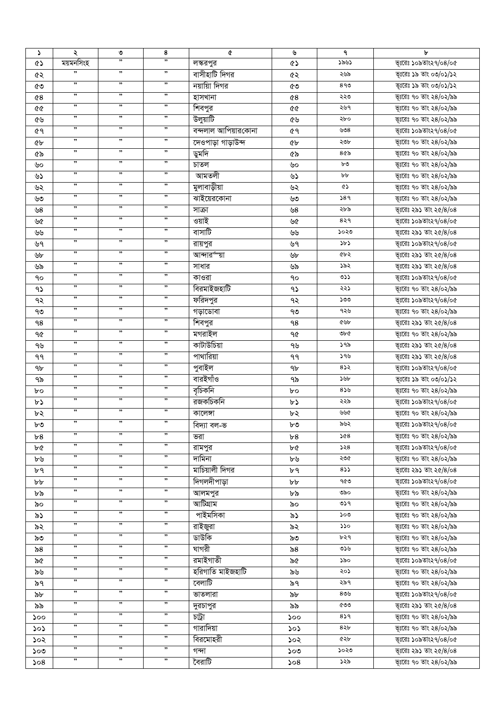| S              | ২                    | ৩      | 8                    | ¢                   | ৬              | ٩                | b                      |
|----------------|----------------------|--------|----------------------|---------------------|----------------|------------------|------------------------|
| <b>ED</b>      | ময়মনসিংহ            | ,,     | ,,                   | লস্করপুর            | ৫১             | ১৯৬১             | ভূঃরেঃ ১০৯তাং২৭/০৪/০৫  |
| ৫২             | ,,                   | ,,     | ,                    | বাসীহাটি দিগর       | ৫২             | ২৬৯              | ভূঃরেঃ ১৯ তাং ০৩/০১/১২ |
| ৫৩             | $, \,$               | $, \,$ | ,                    | নয়ায়াি দিগর       | ৫৩             | 890              | ভূঃরেঃ ১৯ তাং ০৩/০১/১২ |
| 68             | $, \,$               | $, \,$ | $, \,$               | হাসখানা             | 68             | ২২৩              | ভূঃরেঃ ৭০ তাং ২৪/০২/৯৯ |
| 99             | $\pmb{\mathfrak{y}}$ | $, \,$ | ,,                   | শিবপুর              | 66             | ২৬৭              | ভূঃরেঃ ৭০ তাং ২৪/০২/৯৯ |
| ৫৬             | $, \,$               | , ,    | $, \,$               | উলুয়াটি            | ৫৬             | ২৮০              | ভূঃরেঃ ৭০ তাং ২৪/০২/৯৯ |
| ৫٩             | ,,                   | ,,     | ,,                   | বন্দলাল আপিয়ারকোনা | ৫٩             | 608              | ভূঃরেঃ ১০৯তাং২৭/০৪/০৫  |
|                | $, \,$               | $, \,$ | $, \,$               | দেওপাড়া গাড়াউন্দ  |                | ২৩৮              | ভূঃরেঃ ৭০ তাং ২৪/০২/৯৯ |
| ৫৮             | ,,                   | ,,     | ,,                   |                     | <b>«</b>       | $8$ ৫৯           | ভূঃরেঃ ৭০ তাং ২৪/০২/৯৯ |
| ৫৯             | ,,                   | ,,     | ,,                   | ডুমদি               | ৫৯             |                  |                        |
| ৬০             | ,,                   | ,,     | ,,                   | চাতল                | ৬০             | ৮৩               | ভূঃরেঃ ৭০ তাং ২৪/০২/৯৯ |
| ৬১             | ,,                   | ,,     | ,,                   | আমতলী               | ৬১             | bþ               | ভূঃরেঃ ৭০ তাং ২৪/০২/৯৯ |
| ৬২             |                      |        |                      | মুলাবাড়ীয়া        | ৬২             | ৫১               | ভূঃরেঃ ৭০ তাং ২৪/০২/৯৯ |
| ৬৩             | ,,                   | ,,     | ,,                   | ঝাইয়েরকোনা         | ৬৩             | 589              | ভূঃরেঃ ৭০ তাং ২৪/০২/৯৯ |
| ৬8             | ,,                   | ,,     | ,,                   | সাক্রা              | ৬8             | ২৮৯              | ভূঃরেঃ ২৯১ তাং ২৫/৪/০৪ |
| ৬৫             | ,,                   | ,,     | ,,                   | ওয়াই               | ৬৫             | 829              | ভূঃরেঃ ১০৯তাং২৭/০৪/০৫  |
| ৬৬             | ,,                   | ,,     | ,,                   | বাসাটি              | ৬৬             | ১০২৩             | ভূঃরেঃ ২৯১ তাং ২৫/৪/০৪ |
| ৬৭             | ,,                   | ,,     | ,,                   | রায়পুর             | ৬৭             | ১৮১              | ভূঃরেঃ ১০৯তাং২৭/০৪/০৫  |
| ৬৮             | ,,                   | ,,     | ,,                   | আন্দার্ল য়া        | ৬৮             | ৫৮২              | ভূঃরেঃ ২৯১ তাং ২৫/৪/০৪ |
| ৬৯             | ,,                   | ,,     | ,,                   | সাধার               | ৬৯             | ১৯২              | ভূঃরেঃ ২৯১ তাং ২৫/৪/০৪ |
| ٩o             | ,,                   | ,,     | ,,                   | কাওরা               | ٩o             | ৩১১              | ভূঃরেঃ ১০৯তাং২৭/০৪/০৫  |
| ۹১             | $, \,$               | $, \,$ | $, \,$               | বিরমাইজহাটি         | ۹১             | ২২১              | ভূঃরেঃ ৭০ তাং ২৪/০২/৯৯ |
| ৭২             | $, \,$               | ,,     | $, \,$               | ফরিদপুর             | ৭২             | ১৩৩              | ভূঃরেঃ ১০৯তাং২৭/০৪/০৫  |
| ৭৩             | ,                    | , ,    | ,                    | গড়াডোবা            | ৭৩             | ৭২৬              | ভূঃরেঃ ৭০ তাং ২৪/০২/৯৯ |
|                | $, \,$               | $, \,$ | ,                    |                     |                | ৫৬৮              |                        |
| ٩8             | $\pmb{\mathfrak{y}}$ | , ,    | ,                    | শিবপুর              | ٩8             |                  | ভূঃরেঃ ২৯১ তাং ২৫/৪/০৪ |
| ৭৫             | $, \,$               | , ,    | ,                    | মগরাইল              | ৭৫             | ৩৮৫              | ভূঃরেঃ ৭০ তাং ২৪/০২/৯৯ |
| ৭৬             | ,,                   | ,,     | ,,                   | কাটাউচিয়া          | ৭৬             | ১৭৯              | ভূঃরেঃ ২৯১ তাং ২৫/8/০৪ |
| ۹۹             |                      |        |                      | পাথারিয়া           | ۹۹             | ১৭৬              | ভূঃরেঃ ২৯১ তাং ২৫/৪/০৪ |
| 9 <sub>b</sub> | $, \,$               | $, \,$ | $, \,$               | পুবাইল              | 9 <sub>b</sub> | 852              | ভূঃরেঃ ১০৯তাং২৭/০৪/০৫  |
| ৭৯             | ,,                   | ,,     | ,                    | বারইগাঁও            | ৭৯             | ১৬৮              | ভূঃরেঃ ১৯ তাং ০৩/০১/১২ |
| bο             | ,,                   | "      | ,,                   | বৃচিকনি             | bο             | 859              | ভূঃরেঃ ৭০ তাং ২৪/০২/৯৯ |
| ৮১             | ,,                   | ,      | ,,                   | রজকচিকনি            | ৮১             | ২২৯              | ভূঃরেঃ ১০৯তাং২৭/০৪/০৫  |
| ৮২             | ,,                   | $, \,$ | $, \,$               | কালেঙ্গা            | ৮২             | ৬৬৫              | ভূঃরেঃ ৭০ তাং ২৪/০২/৯৯ |
| ৮৩             | ,,                   | ,,     | ,,                   | বিদ্যা বল-ভ         | ৳৩             | ৯৬২              | ভূঃরেঃ ১০৯তাং২৭/০৪/০৫  |
| ৮8             | ,,                   | ,,     | ,,                   | ভরা                 | b8             | ১৫৪              | ভূঃরেঃ ৭০ তাং ২৪/০২/৯৯ |
| ৮৫             | ,,                   | ,,     | ,,                   | রামপুর              | ৮৫             | ১২৪              | ভূঃরেঃ ১০৯তাং২৭/০৪/০৫  |
| ৮৬             | ,,                   | ,,     | ,,                   | দামিনা              | ৮৬             | ২৩৫              | ভূঃরেঃ ৭০ তাং ২৪/০২/৯৯ |
| ৮৭             | ,,                   | , ,    | ,,                   | মাচিয়ালী দিগর      | ৮৭             | 833              | ভূঃরেঃ ২৯১ তাং ২৫/৪/০৪ |
| bþ             | ,,                   | "      | ,,                   | দিগলদীপাড়া         | ৮৮             | ৭৫৩              | ভূঃরেঃ ১০৯তাং২৭/০৪/০৫  |
|                | ,,                   | ,,     | ,,                   |                     |                | ৩৯০              | ভূঃরেঃ ৭০ তাং ২৪/০২/৯৯ |
| ৮৯             | ,,                   | ,,     | ,,                   | আলমপুর<br>আটিগ্ৰাম  | ৮৯             | ৩১৭              | ভূঃরেঃ ৭০ তাং ২৪/০২/৯৯ |
| ৯০             | ,,                   | ,      | ,,                   |                     | ৯০             |                  |                        |
| ৯১             | $\pmb{\mathfrak{y}}$ | , ,    | ,                    | পাইমসিকা            | ৯১             | ১০৩              | ভূঃরেঃ ৭০ তাং ২৪/০২/৯৯ |
| ৯২             | , ,                  | , ,    | ,,                   | রাইজুরা             | ৯২             | ১১০              | ভূঃরেঃ ৭০ তাং ২৪/০২/৯৯ |
| ৯৩             |                      |        |                      | ডাউকি               | ৯৩             | ৮২৭              | ভূঃরেঃ ৭০ তাং ২৪/০২/৯৯ |
| ৯৪             | $\pmb{\mathfrak{y}}$ | , ,    | ,                    | ঘাগরী               | ৯৪             | ৩১৬              | ভূঃরেঃ ৭০ তাং ২৪/০২/৯৯ |
| ৯৫             | $, ,$                | , ,    | ,                    | রমাইগাতী            | ৯৫             | ১৯০              | ভূঃরেঃ ১০৯তাং২৭/০৪/০৫  |
| ৯৬             | $\pmb{\mathfrak{y}}$ | , ,    | ,,                   | হরিগাতি মাইজহাটি    | ৯৬             | ২০১              | ভূঃরেঃ ৭০ তাং ২৪/০২/৯৯ |
| ৯৭             | $\pmb{\mathfrak{y}}$ | "      | , ,                  | বেলাটি              | ৯৭             | ২৯৭              | ভূঃরেঃ ৭০ তাং ২৪/০২/৯৯ |
| ৯৮             | $, \,$               | , ,    | ,                    | ভাতলারা             | ৯৮             | ৪৩৬              | ভূঃরেঃ ১০৯তাং২৭/০৪/০৫  |
| ৯৯             | ,,                   | ,      | ,,                   | দুরচাপুর            | ৯৯             | ৫৩৩              | ভূঃরেঃ ২৯১ তাং ২৫/৪/০৪ |
| ১০০            | ,,                   | ,      | ,,                   | চট্ৰা               | 500            | 859              | ভূঃরেঃ ৭০ তাং ২৪/০২/৯৯ |
| ১০১            | ,                    | "      | ,                    | গারাদিয়া           | ১০১            | 8.8 <sub>b</sub> | ভূঃরেঃ ৭০ তাং ২৪/০২/৯৯ |
| ১০২            | ,,                   | , ,    | $\pmb{\mathfrak{y}}$ | বিরমোহরী            | ১০২            | ৫২৮              | ভূঃরেঃ ১০৯তাং২৭/০৪/০৫  |
| ১০৩            | ,,                   | , ,    | ,                    | গন্দা               | ১০৩            | ১০২৩             | ভূঃরেঃ ২৯১ তাং ২৫/8/০৪ |
|                | ,,                   | ,,     | ,,                   | বৈরাটি              |                | ১২৯              |                        |
| 508            |                      |        |                      |                     | 508            |                  | ভূঃরেঃ ৭০ তাং ২৪/০২/৯৯ |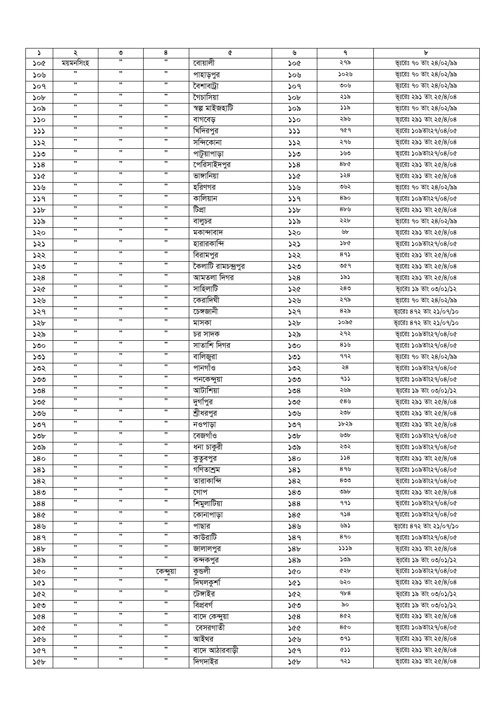| $\Delta$  | ২                    | ৩  | 8                    | ¢                   | ৬               | ٩             | ৮                       |
|-----------|----------------------|----|----------------------|---------------------|-----------------|---------------|-------------------------|
| ১০৫       | ময়মনসিংহ            | ,, | ,                    | বোয়ালী             | ১০৫             | ২৭৯           | ভূঃরেঃ ৭০ তাং ২৪/০২/৯৯  |
| ১০৬       | ,,                   | ,, | $, \,$               | পাহাড়পুর           | ১০৬             | ১০২৬          | ভূঃরেঃ ৭০ তাং ২৪/০২/৯৯  |
| ১০৭       | ,,                   | ,, | ,,                   | বৈশাবট্রা           | ১০৭             | ৩০৬           | ভূঃরেঃ ৭০ তাং ২৪/০২/৯৯  |
| ১০৮       | ,,                   | ,, | $, \,$               | গৈচাসিয়া           | ১০৮             | ২১৯           | ভূঃরেঃ ২৯১ তাং ২৫/৪/০৪  |
| ১০৯       | $\pmb{\mathfrak y}$  | ,, | $, \,$               | স্বল্প মাইজহাটি     | ১০৯             | ১১৯           | ভূঃরেঃ ৭০ তাং ২৪/০২/৯৯  |
| ১১০       | $, \,$               | ,, | $, \,$               | বাগবেড়             | ১১০             | ২৯৬           | ভূঃরেঃ ২৯১ তাং ২৫/৪/০৪  |
| 333       | ,,                   | ,, | ,                    | খিদিরপুর            | 333             | 909           | ভূঃরেঃ ১০৯তাং২৭/০৪/০৫   |
|           | $\pmb{\mathfrak y}$  | ,, | $, \,$               | সন্দিকোনা           |                 | ২৭৬           | ভূঃরেঃ ২৯১ তাং ২৫/8/০৪  |
| ১১২       | ,,                   | ,, | ,,                   |                     | 552             |               |                         |
| $0<\zeta$ | ,,                   | ,, | ,,                   | পাটুয়াপাড়া        | ১১৩             | ১৬৩           | ভূঃরেঃ ১০৯তাং২৭/০৪/০৫   |
| 328       | ,,                   | ,, | ,,                   | সেরিসাইদপুর         | 558             | 8bC           | ভূঃরেঃ ২৯১ তাং ২৫/৪/০৪  |
| ১১৫       |                      |    |                      | ভাঙ্গানিয়া         | ১১৫             | 558           | ভূঃরেঃ ২৯১ তাং ২৫/৪/০৪  |
| ১১৬       | $\pmb{\mathfrak{y}}$ | ,, | ,,                   | হরিণগর              | ১১৬             | ৩৬২           | ভূঃরেঃ ৭০ তাং ২৪/০২/৯৯  |
| 339       | $\pmb{\mathfrak{y}}$ | ,, | ,,                   | কালিয়ান            | 339             | $8\delta$ ი   | ভূঃরেঃ ১০৯তাং২৭/০৪/০৫   |
| ১১৮       | ,,                   | ,, | ,,                   | টিপ্ৰা              | ১১৮             | 8b9           | ভূঃরেঃ ২৯১ তাং ২৫/8/০৪  |
| ১১৯       | $\pmb{\mathfrak{H}}$ | ,, | ,,                   | বালুচর              | ১১৯             | ২২৮           | ভূঃরেঃ ৭০ তাং ২৪/০২/৯৯  |
| ১২০       | $\pmb{\mathfrak{y}}$ | ,, | ,,                   | মকান্দাবাদ          | ১২০             | ৬৮            | ভূঃরেঃ ২৯১ তাং ২৫/8/০৪  |
| ১২১       | ,,                   | ,, | ,,                   | হারারকান্দি         | ১২১             | ১৮৫           | ভূঃরেঃ ১০৯তাং২৭/০৪/০৫   |
| ১২২       | ,,                   | ,, | ,,                   | বিরামপুর            | ১২২             | 89            | ভূঃরেঃ ২৯১ তাং ২৫/8/০৪  |
| ১২৩       | ,,                   | ,, | ,,                   | কৈলাটি রামচন্দ্রপুর | ১২৩             | ৩৫৭           | ভূঃরেঃ ২৯১ তাং ২৫/8/০৪  |
| ১২৪       | ,,                   | ,  | $, \,$               | আমতলা দিগর          | ১২৪             | ১৯১           | ভূঃরেঃ ২৯১ তাং ২৫/8/০৪  |
| ১২৫       | $\pmb{\mathfrak y}$  | ,, | $, \,$               | সাহিলাটি            | ১২৫             | ২৪৩           | ভূঃরেঃ ১৯ তাং ০৩/০১/১২  |
| ১২৬       | $\pmb{\mathfrak{y}}$ | "  | , ,                  | কেরাদিঘী            | ১২৬             | ২৭৯           | ভূঃরেঃ ৭০ তাং ২৪/০২/৯৯  |
| ১২৭       | $, \,$               | ,, | $, \,$               | চেঙ্গজানী           | ১২৭             | ৪২৯           | ভূঃরেঃ ৪৭২ তাং ২১/০৭/১০ |
|           | $\pmb{\mathfrak y}$  | "  | $, \,$               |                     |                 | ১০৯৫          | ভূঃরেঃ ৪৭২ তাং ২১/০৭/১০ |
| ১২৮       | $\pmb{\mathfrak y}$  | "  | $, \,$               | মাসকা               | ১২৮             |               |                         |
| ১২৯       | $, \,$               | "  | $, \,$               | চর সাদক             | ১২৯             | ২৭২           | ভূঃরেঃ ১০৯তাং২৭/০৪/০৫   |
| ১৩০       | ,,                   | ,, | ,,                   | সাতাশি দিগর         | ১৩০             | 859           | ভূঃরেঃ ১০৯তাং২৭/০৪/০৫   |
| ১৩১       |                      |    |                      | বালিজুরা            | ১৩১             | ৭৭২           | ভূঃরেঃ ৭০ তাং ২৪/০২/৯৯  |
| ১৩২       | $, \,$               | ,, | $, \,$               | পানগাঁও             | ১৩২             | $\geqslant 8$ | ভূঃরেঃ ১০৯তাং২৭/০৪/০৫   |
| ১৩৩       | ,,                   | "  | ,,                   | পনকেন্দুয়া         | ১৩৩             | 922           | ভূঃরেঃ ১০৯তাং২৭/০৪/০৫   |
| ১৩৪       | ,,                   | ,, | ,,                   | আটাশিয়া            | ১৩৪             | ২৬৯           | ভূঃরেঃ ১৯ তাং ০৩/০১/১২  |
| ১৩৫       | ,,                   | "  | ,,                   | দুর্গাপুর           | ১৩৫             | ৫৪৬           | ভূঃরেঃ ২৯১ তাং ২৫/৪/০৪  |
| ১৩৬       | ,                    | ,, | ,,                   | শ্রীধরপুর           | ১৩৬             | ২৩৮           | ভূঃরেঃ ২৯১ তাং ২৫/8/০৪  |
| ১৩৭       | ,,                   | ,, | ,,                   | নওপাড়া             | ১৩৭             | ১৮২৯          | ভূঃরেঃ ২৯১ তাং ২৫/৪/০৪  |
| ১৩৮       | ,,                   | ,, | ,,                   | বেজগাঁও             | ১৩৮             | ৬৩৮           | ভূঃরেঃ ১০৯তাং২৭/০৪/০৫   |
| ১৩৯       | ,,                   | ,, | $\pmb{\mathfrak{y}}$ | ধনা চাকুরী          | ১৩৯             | ২৩২           | ভূঃরেঃ ১০৯তাং২৭/০৪/০৫   |
| 580       | $\pmb{\mathfrak{y}}$ | ,, | ,,                   | কুতুবপুর            | 580             | 558           | ভূঃরেঃ ২৯১ তাং ২৫/8/০৪  |
| 585       | $\pmb{\mathfrak y}$  | "  | ,,                   | গণিতাশ্ৰম           | 585             | ৪৭৬           | ভূঃরেঃ ১০৯তাং২৭/০৪/০৫   |
| ১৪২       | $\pmb{\mathfrak{y}}$ | "  | ,,                   | তারাকান্দি          | ১৪২             | 800           | ভূঃরেঃ ১০৯তাং২৭/০৪/০৫   |
| ১৪৩       | $\pmb{\mathfrak{y}}$ | "  | ,,                   | গোপ                 | ১৪৩             | ৩৯৮           | ভূঃরেঃ ২৯১ তাং ২৫/8/০৪  |
| 588       | $\pmb{\mathfrak{y}}$ | ,, | ,,                   | শিমুলাটিয়া         | 588             | 995           | ভূঃরেঃ ১০৯তাং২৭/০৪/০৫   |
|           | ,,                   | "  | ,,                   |                     |                 | 958           | ভূঃরেঃ ১০৯তাং২৭/০৪/০৫   |
| ১৪৫       | $\pmb{\mathfrak y}$  | ,, | $\pmb{\mathfrak y}$  | কোনাপাড়া           | 286             |               | ভূঃরেঃ ৪৭২ তাং ২১/০৭/১০ |
| ১৪৬       | $\pmb{\mathfrak y}$  | "  | $\pmb{\mathfrak{y}}$ | পাছার               | ১৪৬             | ৬৯১           |                         |
| ১৪৭       | $\pmb{\mathfrak y}$  | "  | $\pmb{\mathfrak y}$  | কাউরাটি             | 389             | 890           | ভূঃরেঃ ১০৯তাং২৭/০৪/০৫   |
| 58b       | $\pmb{\mathfrak y}$  | "  | $\pmb{\mathfrak y}$  | জালালপুর            | 58 <sub>b</sub> | ১১১৯          | ভূঃরেঃ ২৯১ তাং ২৫/8/০৪  |
| ১৪৯       |                      |    |                      | কন্দকপুর            | ১৪৯             | ১৩৯           | ভূঃরেঃ ১৯ তাং ০৩/০১/১২  |
| ১৫০       | $\pmb{\mathfrak y}$  | ,, | কেন্দুয়া            | কুন্ডলী             | ১৫০             | ৫২৮           | ভূঃরেঃ ১০৯তাং২৭/০৪/০৫   |
| ১৫১       | $\pmb{\mathfrak{y}}$ | ,, | ,,                   | দিঘলকুশা            | ১৫১             | ৬২০           | ভূঃরেঃ ২৯১ তাং ২৫/৪/০৪  |
| ১৫২       | $, \,$               | ,, | $, \,$               | টেঙ্গাইর            | ১৫২             | 9b8           | ভূঃরেঃ ১৯ তাং ০৩/০১/১২  |
| ১৫৩       | $\pmb{\mathfrak y}$  | ,, | ,,                   | বিপ্ৰবৰ্গ           | ১৫৩             | ৯০            | ভূঃরেঃ ১৯ তাং ০৩/০১/১২  |
| ১৫৪       | ,,                   | ,, | ,,                   | বাদে কেন্দুয়া      | 80<             | 8৫২           | ভূঃরেঃ ২৯১ তাং ২৫/৪/০৪  |
| ১৫৫       | $\pmb{\mathfrak y}$  | ,, | , ,                  | বেসরগাতী            | 236             | 800           | ভূঃরেঃ ১০৯তাং২৭/০৪/০৫   |
| ১৫৬       | ,,                   | ,, | ,,                   | আইথর                | ১৫৬             | ৩৭১           | ভূঃরেঃ ২৯১ তাং ২৫/8/০৪  |
| ১৫৭       | $\pmb{\mathfrak y}$  | "  | ,,                   | বাদে আঠারবাড়ী      | ১৫৭             | ৫১১           | ভূঃরেঃ ২৯১ তাং ২৫/৪/০৪  |
| ১৫৮       | ,,                   | ,, | ,,                   | দিগদাইর             | ১৫৮             | ৭২১           | ভূঃরেঃ ২৯১ তাং ২৫/৪/০৪  |
|           |                      |    |                      |                     |                 |               |                         |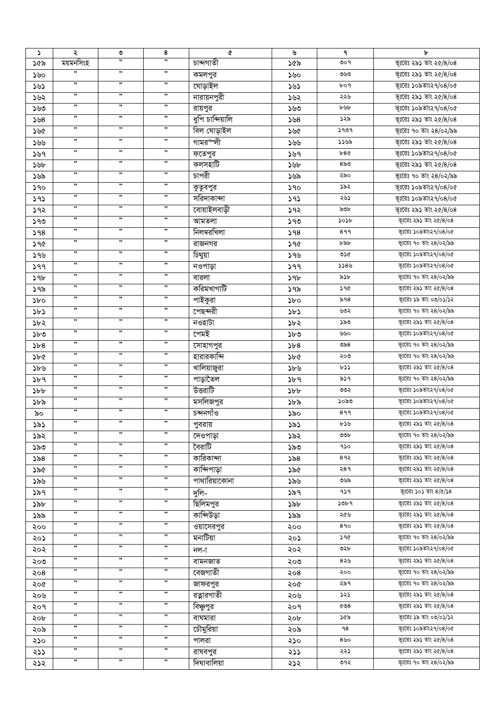| $\mathcal{L}$ | ২                                    | ৩  | 8                    | ¢                | ৬   | ٩           | ৮                            |
|---------------|--------------------------------------|----|----------------------|------------------|-----|-------------|------------------------------|
| ১৫৯           | ময়মনসিংহ                            | ,, | ,,                   | চান্দগাতী        | ১৫৯ | 909         | ভূঃরেঃ ২৯১ তাং ২৫/8/০৪       |
| ১৬০           | ,,                                   | ,, | ,                    | কমলপুর           | ১৬০ | ৩৬৩         | ভূঃরেঃ ২৯১ তাং ২৫/৪/০৪       |
| ১৬১           | $, \,$                               | ,, | $, \,$               | ঘোড়াইল          | ১৬১ | $b$ 04      | ভূঃরেঃ ১০৯তাং২৭/০৪/০৫        |
| ১৬২           | $\pmb{\mathfrak{y}}$                 | ,, | $, \,$               | নারায়নপুরী      | ১৬২ | ২২৬         | ভূঃরেঃ ২৯১ তাং ২৫/৪/০৪       |
| ১৬৩           | $\pmb{\mathfrak{y}}$                 | ,, | $, \,$               | রায়পুর          | ১৬৩ | ৮৬৮         | ভূঃরেঃ ১০৯তাং২৭/০৪/০৫        |
| ১৬৪           | ,,                                   | ,, | ,                    | ধুপি চান্দিয়ালি | 508 | ১২৯         | ভূঃরেঃ ২৯১ তাং ২৫/৪/০৪       |
| ১৬৫           | ,,                                   | "  | ,,                   | বিল ঘোড়াইল      | ১৬৫ | 5909        | ভূঃরেঃ ৭০ তাং ২৪/০২/৯৯       |
| ১৬৬           | $\pmb{\mathfrak{y}}$                 | ,, | $, \,$               | গামর৺লী          | ১৬৬ | ১১৬৯        | ভূঃরেঃ ২৯১ তাং ২৫/8/০৪       |
| ১৬৭           | ,,                                   | "  | ,,                   | ফতেপুর           | ১৬৭ | b8Q         | ভূঃরেঃ ১০৯তাং২৭/০৪/০৫        |
|               | ,,                                   | "  | ,,                   | কলসহাটি          |     | $8\delta$ ಿ | ভূঃরেঃ ২৯১ তাং ২৫/৪/০৪       |
| ১৬৮           | $\pmb{\mathfrak{H}}$                 | ,, | $, \,$               | চাপরী            | ১৬৮ | ২৯০         |                              |
| ১৬৯           | ,,                                   | ,, | ,,                   |                  | ১৬৯ |             | ভূঃরেঃ ৭০ তাং ২৪/০২/৯৯       |
| ১৭০           | ,,                                   | ,, | ,,                   | কুতুবপুর         | ১৭০ | ১৯২         | ভূঃরেঃ ১০৯তাং২৭/০৪/০৫        |
| 393           | ,,                                   | ,, | ,,                   | সরিদাকান্দা      | ১৭১ | ২৬১         | ভূঃরেঃ ১০৯তাং২৭/০৪/০৫        |
| ১৭২           |                                      |    |                      | বোয়াইলবাড়ী     | ১৭২ | ৯৩৮         | ভূঃরেঃ ২৯১ তাং ২৫/৪/০৪       |
| ১৭৩           | ,,                                   | ,, | $, \,$               | আমতলা            | ১৭৩ | ১০১৮        | ভূঃরেঃ ২৯১ তাং ২৫/8/০৪       |
| 98            | ,,                                   | ,, | $, \,$               | নিলম্বরখিলা      | 598 | 899         | ভূঃরেঃ ১০৯তাং২৭/০৪/০৫        |
| ১৭৫           | ,,                                   | ,, | $\pmb{\mathfrak{y}}$ | রাজনগর           | ১৭৫ | ৮৯৮         | ভূঃরেঃ ৭০ তাং ২৪/০২/৯৯       |
| ১৭৬           | ,,                                   | ,, | ,,                   | চিথুয়া          | ১৭৬ | ৩১৫         | ভূঃরেঃ ১০৯তাং২৭/০৪/০৫        |
| 599           | ,,                                   | ,, | ,,                   | নওপাড়া          | 99  | 5589        | ভূঃরেঃ ১০৯তাং২৭/০৪/০৫        |
| ১৭৮           | ,,                                   | ,, | ,,                   | বারলা            | ১৭৮ | ৯১৮         | ভূঃরেঃ ৭০ তাং ২৪/০২/৯৯       |
| ১৭৯           | ,,                                   | ,, | ,,                   | করিমখাগাটি       | ১৭৯ | ১৭৫         | ভূঃরেঃ ২৯১ তাং ২৫/৪/০৪       |
| ১৮০           | $\pmb{\mathfrak{y}}$                 | ,, | ,                    | পাইকুরা          | ১৮০ | ৯৭৪         | ভূঃরেঃ ১৯ তাং ০৩/০১/১২       |
| ১৮১           | $\pmb{\mathfrak y}\pmb{\mathfrak y}$ | ,, | $, \,$               | পেছন্দরী         | ১৮১ | ৬৩২         | ভূঃরেঃ ৭০ তাং ২৪/০২/৯৯       |
| ১৮২           | $\pmb{\mathfrak{H}}$                 | ,, | $, \,$               | নওহাটা           | ১৮২ | ১৯৩         | ভূঃরেঃ ২৯১ তাং ২৫/৪/০৪       |
| ১৮৩           | ,,                                   | "  | $\pmb{\mathfrak{H}}$ | পেমই             | ১৮৩ | ৬৬০         | ভূঃরেঃ ১০৯তাং২৭/০৪/০৫        |
| 5b8           | $\pmb{\mathfrak{y}}$                 | ,, | ,                    | সোহাগপুর         | 5b8 | ುನಿ $8$     | ভূঃরেঃ ৭০ তাং ২৪/০২/৯৯       |
| ১৮৫           | ,,                                   | ,, | ,,                   | হারারকান্দি      | ১৮৫ | ২০৩         | ভূঃরেঃ ৭০ তাং ২৪/০২/৯৯       |
| ১৮৬           | $\pmb{\mathfrak{H}}$                 | ,, | $, \,$               | ৰালিয়াজুরা      | ১৮৬ | ৮১১         | ভূঃরেঃ ২৯১ তাং ২৫/৪/০৪       |
| ১৮৭           | ,,                                   | ,, | ,,                   | পাড়াতৈল         | ১৮৭ | ৯১৭         | ভূঃরেঃ ৭০ তাং ২৪/০২/৯৯       |
| $\delta b$    | ,,                                   | ,, | ,,                   | উত্তরাটি         |     | ৩৩২         | ভূঃরেঃ ১০৯তাং২৭/০৪/০৫        |
|               | ,,                                   | ,, | ,,                   |                  | 5b  | ১০৯৩        |                              |
| ১৮৯           | ,,                                   | ,, | ,,                   | মসলিজপুর         | ১৮৯ |             | ভূঃরেঃ ১০৯তাং২৭/০৪/০৫        |
| ৯০            | ,,                                   | ,, | ,,                   | চন্দনগাঁও        | ১৯০ | 899         | ভূঃরেঃ ১০৯তাং২৭/০৪/০৫        |
| ১৯১           | ,,                                   | ,, | ,,                   | পুবরায়          | ১৯১ | ৮১৬         | ভূঃরেঃ ২৯১ তাং ২৫/৪/০৪       |
| ১৯২           | ,,                                   | ,, | ,,                   | দেওপাড়া         | ১৯২ | OOP         | ভূঃরেঃ ৭০ তাং ২৪/০২/৯৯       |
| ১৯৩           |                                      |    |                      | বৈরাটি           | ১৯৩ | ৭১০         | ভূঃরেঃ ২৯১ তাং ২৫/8/০৪       |
| ১৯৪           | ,,                                   | ,, | ,,                   | কারিকান্দা       | ১৯৪ | 89२         | ভূঃরেঃ ২৯১ তাং ২৫/৪/০৪       |
| ১৯৫           | ,,                                   | ,, | ,,                   | কান্দিপাড়া      | ১৯৫ | २४ १        | ভূঃরেঃ ২৯১ তাং ২৫/8/০৪       |
| ১৯৬           | ,,                                   | ,, | ,,                   | পাথারিয়াকোনা    | ১৯৬ | ৩৬৯         | ভূঃরেঃ ২৯১ তাং ২৫/৪/০৪       |
| ১৯৭           | ,,                                   | ,, | ,,                   | দুলি-            | ১৯৭ | ۹১۹         | ভূঃরেঃ ১০১ তাং $8/\alpha/38$ |
| ১৯৮           | ,,                                   | ,, | ,,                   | ছিলিমপুর         | ১৯৮ | ১৩৮৭        | ভূঃরেঃ ২৯১ তাং ২৫/৪/০৪       |
| ১৯৯           | ,,                                   | ,, | ,,                   | কান্দিউড়া       | ১৯৯ | ২৫৬         | ভূঃরেঃ ২৯১ তাং ২৫/৪/০৪       |
| ২০০           | ,,                                   | ,, | ,,                   | ওয়াসেরপুর       | ২০০ | 890         | ভূঃরেঃ ২৯১ তাং ২৫/৪/০৪       |
| ২০১           | ,,                                   | ,, | ,,                   | মনাটিয়া         | ২০১ | ১৭৫         | ভূঃরেঃ ৭০ তাং ২৪/০২/৯৯       |
| ২০২           | ,,                                   | ,, | $, \,$               | নল-া             | ২০২ | ৩২৮         | ভূঃরেঃ ১০৯তাং২৭/০৪/০৫        |
| ২০৩           | $, \,$                               | "  | ,                    | বামনজাত          | ২০৩ | ৪২৬         | ভূঃরেঃ ২৯১ তাং ২৫/৪/০৪       |
| ২০৪           | ,,                                   | ,, | ,,                   | বেজগাতী          | ২০৪ | ২০০         | ভূঃরেঃ ৭০ তাং ২৪/০২/৯৯       |
| ২০৫           | $, \,$                               | "  | ,                    | জাফরপুর          | ২০৫ | ২৯৭         | ভূঃরেঃ ৭০ তাং ২৪/০২/৯৯       |
|               | ,,                                   | "  | ,,                   | রত্নারগাতী       | ২০৬ | ১২১         | ভূঃরেঃ ২৯১ তাং ২৫/৪/০৪       |
| ২০৬           | ,,                                   | ,, | ,,                   |                  |     | &08         | ভূঃরেঃ ২৯১ তাং ২৫/৪/০৪       |
| २०१           | ,,                                   | "  | ,,                   | বিঞ্চুপুর        | ২০৭ |             |                              |
| ২০৮           | ,,                                   | "  | ,,                   | বাঘমারা          | ২০৮ | ১৫৯         | ভূঃরেঃ ১৯ তাং ০৩/০১/১২       |
| ২০৯           | $\pmb{\mathfrak{y}}$                 | ,  | ,,                   | চৌমুরিয়া        | ২০৯ | ۹8          | ভূঃরেঃ ১০৯তাং২৭/০৪/০৫        |
| ২১০           |                                      |    |                      | পালরা            | ২১০ | $8$ ৬০      | ভূঃরেঃ ২৯১ তাং ২৫/8/০৪       |
| ২১১           | ,,                                   | ,  | ,,                   | রাঘবপুর          | ২১১ | ২২১         | ভূঃরেঃ ২৯১ তাং ২৫/৪/০৪       |
| ২১২           | ,,                                   | ,, | ,,                   | দিঘাবালিয়া      | ২১২ | ৩৭২         | ভূঃরেঃ ৭০ তাং ২৪/০২/৯৯       |